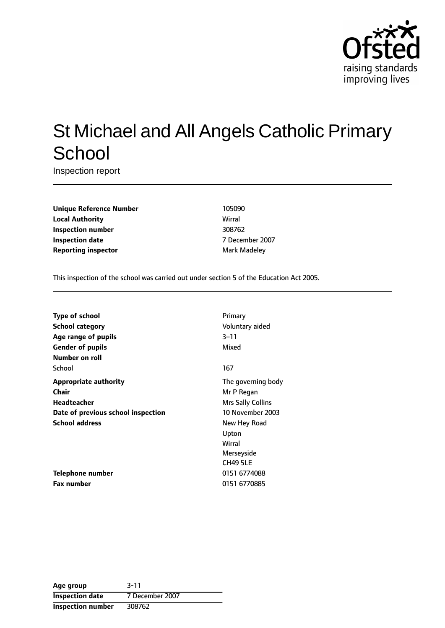

# St Michael and All Angels Catholic Primary **School**

Inspection report

**Unique Reference Number** 105090 **Local Authority** Wirral **Inspection number** 308762 **Inspection date** 7 December 2007 **Reporting inspector** Mark Madeley

This inspection of the school was carried out under section 5 of the Education Act 2005.

| <b>Type of school</b>              | Primary                  |
|------------------------------------|--------------------------|
| <b>School category</b>             | Voluntary aided          |
| Age range of pupils                | 3–11                     |
| <b>Gender of pupils</b>            | Mixed                    |
| Number on roll                     |                          |
| School                             | 167                      |
| <b>Appropriate authority</b>       | The governing body       |
| Chair                              | Mr P Regan               |
| <b>Headteacher</b>                 | <b>Mrs Sally Collins</b> |
| Date of previous school inspection | 10 November 2003         |
| <b>School address</b>              | New Hey Road             |
|                                    | Upton                    |
|                                    | Wirral                   |
|                                    | Merseyside               |
|                                    | <b>CH49 5LE</b>          |
| <b>Telephone number</b>            | 0151 6774088             |
| <b>Fax number</b>                  | 0151 6770885             |

**Age group** 3-11 **Inspection date** 7 December 2007 **Inspection number** 308762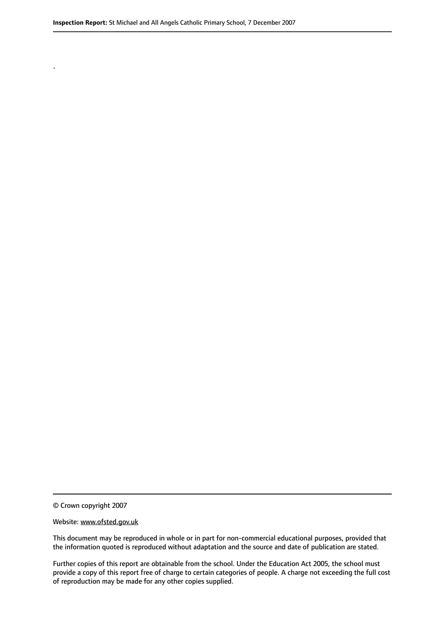© Crown copyright 2007

.

#### Website: www.ofsted.gov.uk

This document may be reproduced in whole or in part for non-commercial educational purposes, provided that the information quoted is reproduced without adaptation and the source and date of publication are stated.

Further copies of this report are obtainable from the school. Under the Education Act 2005, the school must provide a copy of this report free of charge to certain categories of people. A charge not exceeding the full cost of reproduction may be made for any other copies supplied.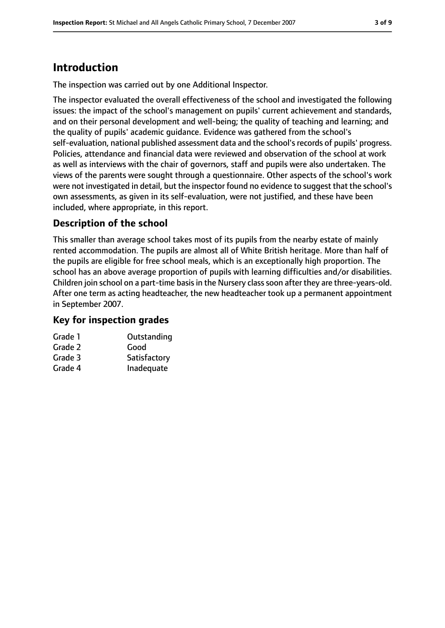# **Introduction**

The inspection was carried out by one Additional Inspector.

The inspector evaluated the overall effectiveness of the school and investigated the following issues: the impact of the school's management on pupils' current achievement and standards, and on their personal development and well-being; the quality of teaching and learning; and the quality of pupils' academic guidance. Evidence was gathered from the school's self-evaluation, national published assessment data and the school's records of pupils' progress. Policies, attendance and financial data were reviewed and observation of the school at work as well as interviews with the chair of governors, staff and pupils were also undertaken. The views of the parents were sought through a questionnaire. Other aspects of the school's work were not investigated in detail, but the inspector found no evidence to suggest that the school's own assessments, as given in its self-evaluation, were not justified, and these have been included, where appropriate, in this report.

### **Description of the school**

This smaller than average school takes most of its pupils from the nearby estate of mainly rented accommodation. The pupils are almost all of White British heritage. More than half of the pupils are eligible for free school meals, which is an exceptionally high proportion. The school has an above average proportion of pupils with learning difficulties and/or disabilities. Children join school on a part-time basis in the Nursery class soon after they are three-years-old. After one term as acting headteacher, the new headteacher took up a permanent appointment in September 2007.

### **Key for inspection grades**

| Grade 1 | Outstanding  |
|---------|--------------|
| Grade 2 | Good         |
| Grade 3 | Satisfactory |
| Grade 4 | Inadequate   |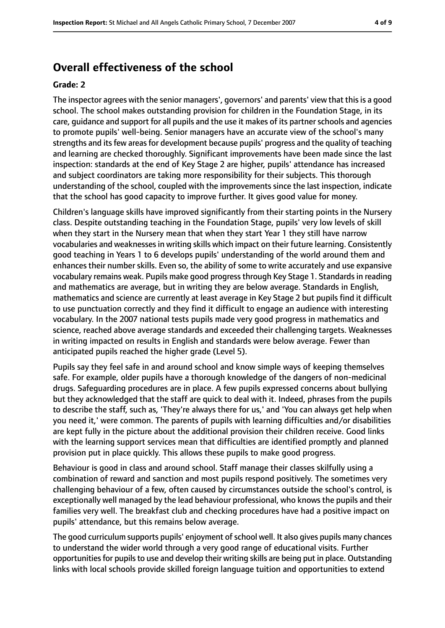### **Overall effectiveness of the school**

#### **Grade: 2**

The inspector agrees with the senior managers', governors' and parents' view that thisis a good school. The school makes outstanding provision for children in the Foundation Stage, in its care, guidance and support for all pupils and the use it makes of its partner schools and agencies to promote pupils' well-being. Senior managers have an accurate view of the school's many strengths and its few areas for development because pupils' progress and the quality of teaching and learning are checked thoroughly. Significant improvements have been made since the last inspection: standards at the end of Key Stage 2 are higher, pupils' attendance has increased and subject coordinators are taking more responsibility for their subjects. This thorough understanding of the school, coupled with the improvements since the last inspection, indicate that the school has good capacity to improve further. It gives good value for money.

Children's language skills have improved significantly from their starting points in the Nursery class. Despite outstanding teaching in the Foundation Stage, pupils' very low levels of skill when they start in the Nursery mean that when they start Year 1 they still have narrow vocabularies and weaknessesin writing skills which impact on their future learning. Consistently good teaching in Years 1 to 6 develops pupils' understanding of the world around them and enhances their number skills. Even so, the ability of some to write accurately and use expansive vocabulary remains weak. Pupils make good progressthrough Key Stage 1. Standardsin reading and mathematics are average, but in writing they are below average. Standards in English, mathematics and science are currently at least average in Key Stage 2 but pupils find it difficult to use punctuation correctly and they find it difficult to engage an audience with interesting vocabulary. In the 2007 national tests pupils made very good progress in mathematics and science, reached above average standards and exceeded their challenging targets. Weaknesses in writing impacted on results in English and standards were below average. Fewer than anticipated pupils reached the higher grade (Level 5).

Pupils say they feel safe in and around school and know simple ways of keeping themselves safe. For example, older pupils have a thorough knowledge of the dangers of non-medicinal drugs. Safeguarding procedures are in place. A few pupils expressed concerns about bullying but they acknowledged that the staff are quick to deal with it. Indeed, phrases from the pupils to describe the staff, such as, 'They're always there for us,' and 'You can always get help when you need it,' were common. The parents of pupils with learning difficulties and/or disabilities are kept fully in the picture about the additional provision their children receive. Good links with the learning support services mean that difficulties are identified promptly and planned provision put in place quickly. This allows these pupils to make good progress.

Behaviour is good in class and around school. Staff manage their classes skilfully using a combination of reward and sanction and most pupils respond positively. The sometimes very challenging behaviour of a few, often caused by circumstances outside the school's control, is exceptionally well managed by the lead behaviour professional, who knows the pupils and their families very well. The breakfast club and checking procedures have had a positive impact on pupils' attendance, but this remains below average.

The good curriculum supports pupils' enjoyment of school well. It also gives pupils many chances to understand the wider world through a very good range of educational visits. Further opportunities for pupils to use and develop their writing skills are being put in place. Outstanding links with local schools provide skilled foreign language tuition and opportunities to extend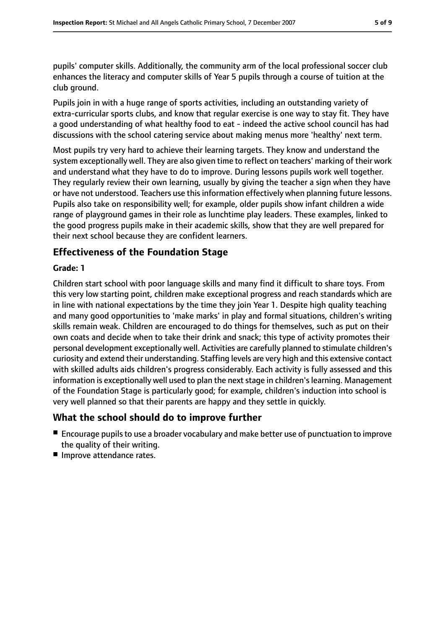pupils' computer skills. Additionally, the community arm of the local professional soccer club enhances the literacy and computer skills of Year 5 pupils through a course of tuition at the club ground.

Pupils join in with a huge range of sports activities, including an outstanding variety of extra-curricular sports clubs, and know that regular exercise is one way to stay fit. They have a good understanding of what healthy food to eat - indeed the active school council has had discussions with the school catering service about making menus more 'healthy' next term.

Most pupils try very hard to achieve their learning targets. They know and understand the system exceptionally well. They are also given time to reflect on teachers' marking of their work and understand what they have to do to improve. During lessons pupils work well together. They regularly review their own learning, usually by giving the teacher a sign when they have or have not understood. Teachers use this information effectively when planning future lessons. Pupils also take on responsibility well; for example, older pupils show infant children a wide range of playground games in their role as lunchtime play leaders. These examples, linked to the good progress pupils make in their academic skills, show that they are well prepared for their next school because they are confident learners.

### **Effectiveness of the Foundation Stage**

### **Grade: 1**

Children start school with poor language skills and many find it difficult to share toys. From this very low starting point, children make exceptional progress and reach standards which are in line with national expectations by the time they join Year 1. Despite high quality teaching and many good opportunities to 'make marks' in play and formal situations, children's writing skills remain weak. Children are encouraged to do things for themselves, such as put on their own coats and decide when to take their drink and snack; this type of activity promotes their personal development exceptionally well. Activities are carefully planned to stimulate children's curiosity and extend their understanding. Staffing levels are very high and this extensive contact with skilled adults aids children's progress considerably. Each activity is fully assessed and this information is exceptionally well used to plan the next stage in children's learning. Management of the Foundation Stage is particularly good; for example, children's induction into school is very well planned so that their parents are happy and they settle in quickly.

### **What the school should do to improve further**

- Encourage pupils to use a broader vocabulary and make better use of punctuation to improve the quality of their writing.
- Improve attendance rates.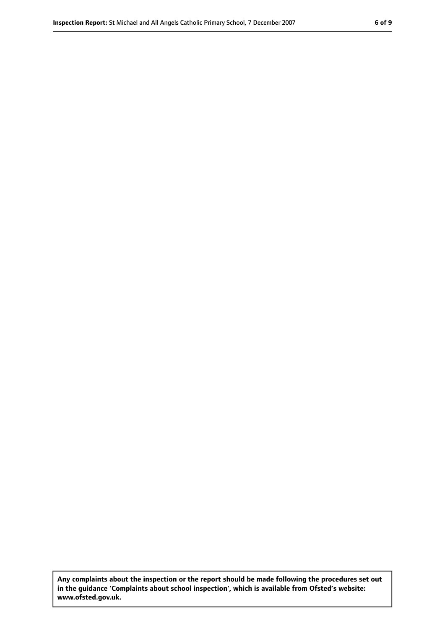**Any complaints about the inspection or the report should be made following the procedures set out in the guidance 'Complaints about school inspection', which is available from Ofsted's website: www.ofsted.gov.uk.**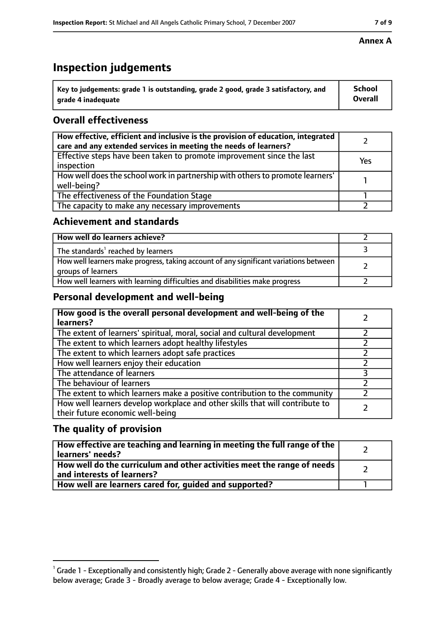# **Inspection judgements**

| $^{\backprime}$ Key to judgements: grade 1 is outstanding, grade 2 good, grade 3 satisfactory, and | <b>School</b>  |
|----------------------------------------------------------------------------------------------------|----------------|
| arade 4 inadeguate                                                                                 | <b>Overall</b> |

### **Overall effectiveness**

| How effective, efficient and inclusive is the provision of education, integrated<br>care and any extended services in meeting the needs of learners? |     |
|------------------------------------------------------------------------------------------------------------------------------------------------------|-----|
| Effective steps have been taken to promote improvement since the last<br>inspection                                                                  | Yes |
| How well does the school work in partnership with others to promote learners'<br>well-being?                                                         |     |
| The effectiveness of the Foundation Stage                                                                                                            |     |
| The capacity to make any necessary improvements                                                                                                      |     |

### **Achievement and standards**

| How well do learners achieve?                                                                               |  |
|-------------------------------------------------------------------------------------------------------------|--|
| The standards <sup>1</sup> reached by learners                                                              |  |
| How well learners make progress, taking account of any significant variations between<br>groups of learners |  |
| How well learners with learning difficulties and disabilities make progress                                 |  |

### **Personal development and well-being**

| How good is the overall personal development and well-being of the<br>learners?                                  |  |
|------------------------------------------------------------------------------------------------------------------|--|
| The extent of learners' spiritual, moral, social and cultural development                                        |  |
| The extent to which learners adopt healthy lifestyles                                                            |  |
| The extent to which learners adopt safe practices                                                                |  |
| How well learners enjoy their education                                                                          |  |
| The attendance of learners                                                                                       |  |
| The behaviour of learners                                                                                        |  |
| The extent to which learners make a positive contribution to the community                                       |  |
| How well learners develop workplace and other skills that will contribute to<br>their future economic well-being |  |

### **The quality of provision**

| How effective are teaching and learning in meeting the full range of the<br>learners' needs?          |  |
|-------------------------------------------------------------------------------------------------------|--|
| How well do the curriculum and other activities meet the range of needs<br>and interests of learners? |  |
| How well are learners cared for, quided and supported?                                                |  |

### **Annex A**

 $^1$  Grade 1 - Exceptionally and consistently high; Grade 2 - Generally above average with none significantly below average; Grade 3 - Broadly average to below average; Grade 4 - Exceptionally low.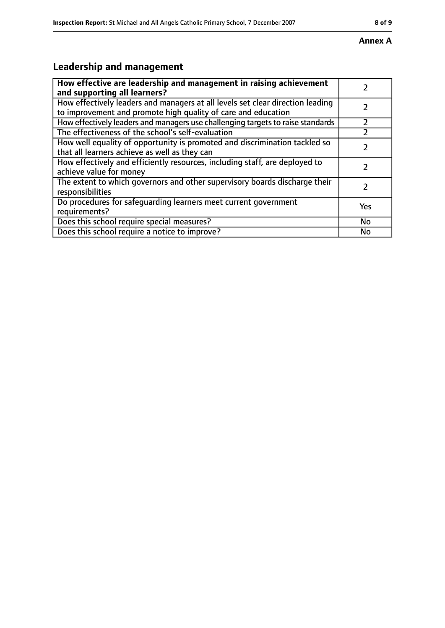#### **Annex A**

# **Leadership and management**

| How effective are leadership and management in raising achievement<br>and supporting all learners?                                              |     |
|-------------------------------------------------------------------------------------------------------------------------------------------------|-----|
| How effectively leaders and managers at all levels set clear direction leading<br>to improvement and promote high quality of care and education |     |
| How effectively leaders and managers use challenging targets to raise standards                                                                 |     |
| The effectiveness of the school's self-evaluation                                                                                               |     |
| How well equality of opportunity is promoted and discrimination tackled so<br>that all learners achieve as well as they can                     |     |
| How effectively and efficiently resources, including staff, are deployed to<br>achieve value for money                                          |     |
| The extent to which governors and other supervisory boards discharge their<br>responsibilities                                                  |     |
| Do procedures for safequarding learners meet current government<br>requirements?                                                                | Yes |
| Does this school require special measures?                                                                                                      | No  |
| Does this school require a notice to improve?                                                                                                   | No  |